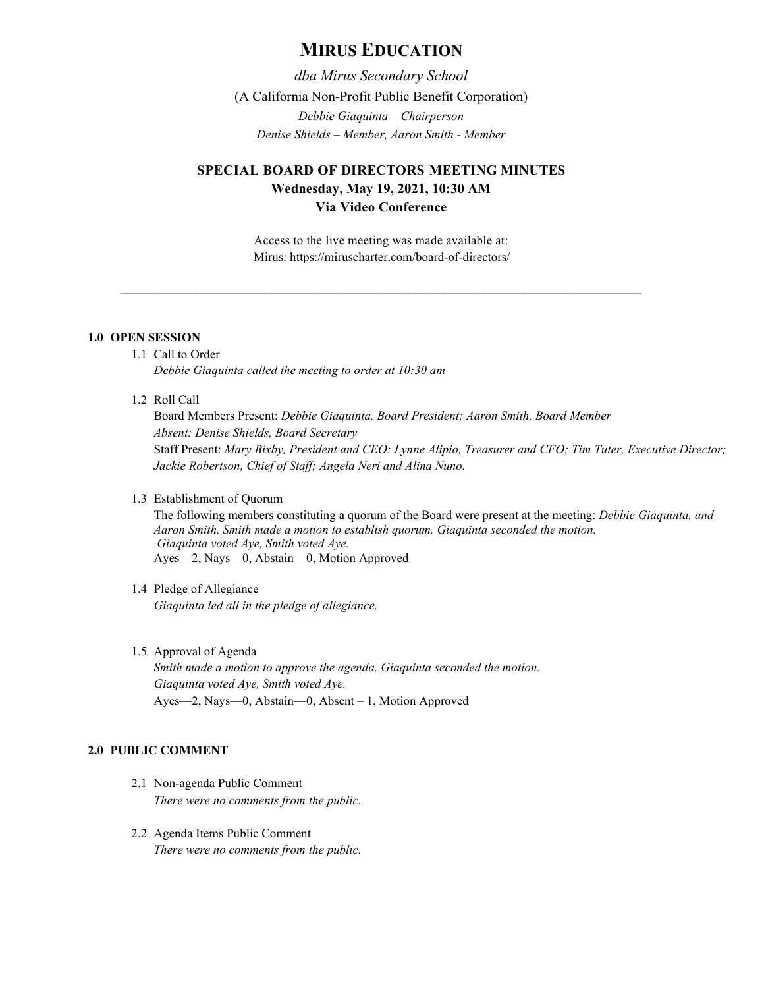# **MIRUS EDUCATION**

*dba Mirus Secondary School* (A California Non-Profit Public Benefit Corporation) *Debbie Giaquinta – Chairperson Denise Shields – Member, Aaron Smith - Member*

## **SPECIAL BOARD OF DIRECTORS MEETING MINUTES Wednesday, May 19, 2021, 10:30 AM Via Video Conference**

Access to the live meeting was made available at: Mirus:<https://miruscharter.com/board-of-directors/>

\_\_\_\_\_\_\_\_\_\_\_\_\_\_\_\_\_\_\_\_\_\_\_\_\_\_\_\_\_\_\_\_\_\_\_\_\_\_\_\_\_\_\_\_\_\_\_\_\_\_\_\_\_\_\_\_\_\_\_\_\_\_\_\_\_\_\_\_\_\_\_\_\_\_\_\_

### **1.0 OPEN SESSION**

- 1.1 Call to Order *Debbie Giaquinta called the meeting to order at 10:30 am*
- 1.2 Roll Call

Board Members Present: *Debbie Giaquinta, Board President; Aaron Smith, Board Member Absent: Denise Shields, Board Secretary* Staff Present: *Mary Bixby, President and CEO: Lynne Alipio, Treasurer and CFO; Tim Tuter, Executive Director; Jackie Robertson, Chief of Staff; Angela Neri and Alina Nuno.*

#### 1.3 Establishment of Quorum

The following members constituting a quorum of the Board were present at the meeting: *Debbie Giaquinta, and Aaron Smith. Smith made a motion to establish quorum. Giaquinta seconded the motion. Giaquinta voted Aye, Smith voted Aye.*  Ayes—2, Nays—0, Abstain—0, Motion Approved

## 1.4 Pledge of Allegiance *Giaquinta led all in the pledge of allegiance.*

1.5 Approval of Agenda

*Smith made a motion to approve the agenda. Giaquinta seconded the motion. Giaquinta voted Aye, Smith voted Aye.* Ayes—2, Nays—0, Abstain—0, Absent – 1, Motion Approved

#### **2.0 PUBLIC COMMENT**

- 2.1 Non-agenda Public Comment *There were no comments from the public.*
- 2.2 Agenda Items Public Comment *There were no comments from the public.*